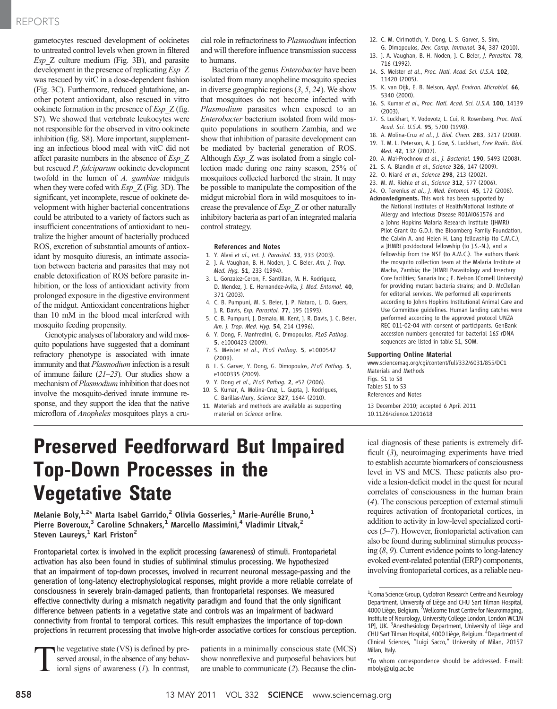### REPORTS

gametocytes rescued development of ookinetes to untreated control levels when grown in filtered  $Esp$  Z culture medium (Fig. 3B), and parasite development in the presence of replicating Esp\_Z was rescued by vitC in a dose-dependent fashion (Fig. 3C). Furthermore, reduced glutathione, another potent antioxidant, also rescued in vitro ookinete formation in the presence of  $Esp\ Z$  (fig. S7). We showed that vertebrate leukocytes were not responsible for the observed in vitro ookinete inhibition (fig. S8). More important, supplementing an infectious blood meal with vitC did not affect parasite numbers in the absence of Esp\_Z but rescued P. falciparum ookinete development twofold in the lumen of A. gambiae midguts when they were cofed with  $Esp\ Z$  (Fig. 3D). The significant, yet incomplete, rescue of ookinete development with higher bacterial concentrations could be attributed to a variety of factors such as insufficient concentrations of antioxidant to neutralize the higher amount of bacterially produced ROS, excretion of substantial amounts of antioxidant by mosquito diuresis, an intimate association between bacteria and parasites that may not enable detoxification of ROS before parasite inhibition, or the loss of antioxidant activity from prolonged exposure in the digestive environment of the midgut. Antioxidant concentrations higher than 10 mM in the blood meal interfered with mosquito feeding propensity.

Genotypic analyses of laboratory and wild mosquito populations have suggested that a dominant refractory phenotype is associated with innate immunity and that Plasmodium infection is a result of immune failure (21–23). Our studies show a mechanism of Plasmodium inhibition that does not involve the mosquito-derived innate immune response, and they support the idea that the native microflora of Anopheles mosquitoes plays a crucial role in refractoriness to Plasmodium infection and will therefore influence transmission success to humans.

Bacteria of the genus Enterobacter have been isolated from many anopheline mosquito species in diverse geographic regions  $(3, 5, 24)$ . We show that mosquitoes do not become infected with Plasmodium parasites when exposed to an Enterobacter bacterium isolated from wild mosquito populations in southern Zambia, and we show that inhibition of parasite development can be mediated by bacterial generation of ROS. Although Esp Z was isolated from a single collection made during one rainy season, 25% of mosquitoes collected harbored the strain. It may be possible to manipulate the composition of the midgut microbial flora in wild mosquitoes to increase the prevalence of *Esp* Z or other naturally inhibitory bacteria as part of an integrated malaria control strategy.

### References and Notes

- 1. Y. Alavi et al., Int. J. Parasitol. 33, 933 (2003). 2. J. A. Vaughan, B. H. Noden, J. C. Beier, Am. J. Trop.
- Med. Hyg. 51, 233 (1994). 3. L. Gonzalez-Ceron, F. Santillan, M. H. Rodriguez,
- D. Mendez, J. E. Hernandez-Avila, J. Med. Entomol. 40, 371 (2003).
- 4. C. B. Pumpuni, M. S. Beier, J. P. Nataro, L. D. Guers, J. R. Davis, Exp. Parasitol. 77, 195 (1993).
- 5. C. B. Pumpuni, J. Demaio, M. Kent, J. R. Davis, J. C. Beier, Am. J. Trop. Med. Hyg. 54, 214 (1996).
- 6. Y. Dong, F. Manfredini, G. Dimopoulos, PLoS Pathog. 5, e1000423 (2009).
- 7. S. Meister et al., PLoS Pathog. 5, e1000542 (2009).
- 8. L. S. Garver, Y. Dong, G. Dimopoulos, PLoS Pathog. 5, e1000335 (2009).
- 9. Y. Dong et al., PLoS Pathog. 2, e52 (2006). 10. S. Kumar, A. Molina-Cruz, L. Gupta, J. Rodrigues,
- C. Barillas-Mury, Science 327, 1644 (2010).
- 11. Materials and methods are available as supporting material on Science online.
- 12. C. M. Cirimotich, Y. Dong, L. S. Garver, S. Sim,
- G. Dimopoulos, Dev. Comp. Immunol. 34, 387 (2010). 13. J. A. Vaughan, B. H. Noden, J. C. Beier, J. Parasitol. 78, 716 (1992).
- 14. S. Meister et al., Proc. Natl. Acad. Sci. U.S.A. 102, 11420 (2005).
- 15. K. van Dijk, E. B. Nelson, Appl. Environ. Microbiol. 66, 5340 (2000).
- 16. S. Kumar et al., Proc. Natl. Acad. Sci. U.S.A. 100, 14139 (2003).
- 17. S. Luckhart, Y. Vodovotz, L. Cui, R. Rosenberg, Proc. Natl. Acad. Sci. U.S.A. 95, 5700 (1998).
- 18. A. Molina-Cruz et al., J. Biol. Chem. 283, 3217 (2008).
- 19. T. M. L. Peterson, A. J. Gow, S. Luckhart, Free Radic. Biol. Med. 42, 132 (2007).
- 20. A. Mai-Prochnow et al., J. Bacteriol. 190, 5493 (2008).
- 21. S. A. Blandin et al., Science 326, 147 (2009).
- 22. O. Niaré et al., Science 298, 213 (2002).
- 23. M. M. Riehle et al., Science 312, 577 (2006).
- 24. O. Terenius et al., J. Med. Entomol. 45, 172 (2008). Acknowledgments. This work has been supported by
- the National Institutes of Health/National Institute of Allergy and Infectious Disease R01AI061576 and a Johns Hopkins Malaria Research Institute (JHMRI) Pilot Grant (to G.D.), the Bloomberg Family Foundation, the Calvin A. and Helen H. Lang fellowship (to C.M.C.), a JHMRI postdoctoral fellowship (to J.S.-N.), and a fellowship from the NSF (to A.M.C.). The authors thank the mosquito collection team at the Malaria Institute at Macha, Zambia; the JHMRI Parasitology and Insectary Core facilities; Sanaria Inc.; E. Nelson (Cornell University) for providing mutant bacteria strains; and D. McClellan for editorial services. We performed all experiments according to Johns Hopkins Institutional Animal Care and Use Committee guidelines. Human landing catches were performed according to the approved protocol UNZA REC 011-02-04 with consent of participants. GenBank accession numbers generated for bacterial 16S rDNA sequences are listed in table S1, SOM.

### Supporting Online Material

10.1126/science.1201618

www.sciencemag.org/cgi/content/full/332/6031/855/DC1 Materials and Methods Figs. S1 to S8 Tables S1 to S3 References and Notes 13 December 2010; accepted 6 April 2011

## Preserved Feedforward But Impaired Top-Down Processes in the Vegetative State

Melanie Boly, $1,2*$  Marta Isabel Garrido,<sup>2</sup> Olivia Gosseries,<sup>1</sup> Marie-Aurélie Bruno,<sup>1</sup> Pierre Boveroux,<sup>3</sup> Caroline Schnakers,<sup>1</sup> Marcello Massimini,<sup>4</sup> Vladimir Litvak,<sup>2</sup> Steven Laureys,<sup>1</sup> Karl Friston<sup>2</sup>

Frontoparietal cortex is involved in the explicit processing (awareness) of stimuli. Frontoparietal activation has also been found in studies of subliminal stimulus processing. We hypothesized that an impairment of top-down processes, involved in recurrent neuronal message-passing and the generation of long-latency electrophysiological responses, might provide a more reliable correlate of consciousness in severely brain-damaged patients, than frontoparietal responses. We measured effective connectivity during a mismatch negativity paradigm and found that the only significant difference between patients in a vegetative state and controls was an impairment of backward connectivity from frontal to temporal cortices. This result emphasizes the importance of top-down projections in recurrent processing that involve high-order associative cortices for conscious perception.

 $\Phi$  he vegetative state (VS) is defined by preserved arousal, in the absence of any behavioral signs of awareness  $(1)$ . In contrast, patients in a minimally conscious state (MCS) show nonreflexive and purposeful behaviors but are unable to communicate (2). Because the clinical diagnosis of these patients is extremely difficult (3), neuroimaging experiments have tried to establish accurate biomarkers of consciousness level in VS and MCS. These patients also provide a lesion-deficit model in the quest for neural correlates of consciousness in the human brain (4). The conscious perception of external stimuli requires activation of frontoparietal cortices, in addition to activity in low-level specialized cortices (5–7). However, frontoparietal activation can also be found during subliminal stimulus processing  $(8, 9)$ . Current evidence points to long-latency evoked event-related potential (ERP) components, involving frontoparietal cortices, as a reliable neu-

<sup>&</sup>lt;sup>1</sup> Coma Science Group, Cyclotron Research Centre and Neurology Department, University of Liège and CHU Sart Tilman Hospital, 4000 Liège, Belgium. <sup>2</sup>Wellcome Trust Centre for Neuroimaging, Institute of Neurology, University College London, London WC1N 1PJ, UK. <sup>3</sup>Anesthesiology Department, University of Liège and CHU Sart Tilman Hospital, 4000 Liège, Belgium. <sup>4</sup>Department of Clinical Sciences, "Luigi Sacco," University of Milan, 20157 Milan, Italy.

<sup>\*</sup>To whom correspondence should be addressed. E-mail: mboly@ulg.ac.be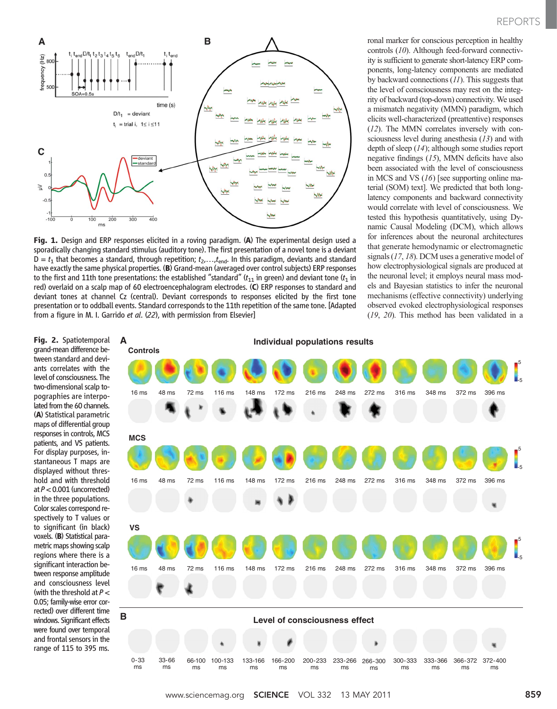



Fig. 1. Design and ERP responses elicited in a roving paradigm. (A) The experimental design used a sporadically changing standard stimulus (auditory tone). The first presentation of a novel tone is a deviant  $D = t_1$  that becomes a standard, through repetition;  $t_2, \ldots, t_{end}$ . In this paradigm, deviants and standard have exactly the same physical properties. (B) Grand-mean (averaged over control subjects) ERP responses to the first and 11th tone presentations: the established "standard" ( $t_{11}$  in green) and deviant tone ( $t_1$  in red) overlaid on a scalp map of 60 electroencephalogram electrodes. (C) ERP responses to standard and deviant tones at channel Cz (central). Deviant corresponds to responses elicited by the first tone presentation or to oddball events. Standard corresponds to the 11th repetition of the same tone. [Adapted from a figure in M. I. Garrido et al. (22), with permission from Elsevier]

ronal marker for conscious perception in healthy controls (10). Although feed-forward connectivity is sufficient to generate short-latency ERP components, long-latency components are mediated by backward connections (11). This suggests that the level of consciousness may rest on the integrity of backward (top-down) connectivity. We used a mismatch negativity (MMN) paradigm, which elicits well-characterized (preattentive) responses (12). The MMN correlates inversely with consciousness level during anesthesia (13) and with depth of sleep (14); although some studies report negative findings (15), MMN deficits have also been associated with the level of consciousness in MCS and VS (16) [see supporting online material (SOM) text]. We predicted that both longlatency components and backward connectivity would correlate with level of consciousness. We tested this hypothesis quantitatively, using Dynamic Causal Modeling (DCM), which allows for inferences about the neuronal architectures that generate hemodynamic or electromagnetic signals (17, 18). DCM uses a generative model of how electrophysiological signals are produced at the neuronal level; it employs neural mass models and Bayesian statistics to infer the neuronal mechanisms (effective connectivity) underlying observed evoked electrophysiological responses (19, 20). This method has been validated in a

Fig. 2. Spatiotemporal grand-mean difference between standard and deviants correlates with the level of consciousness. The two-dimensional scalp topographies are interpolated from the 60 channels. (A) Statistical parametric maps of differential group responses in controls, MCS patients, and VS patients. For display purposes, instantaneous T maps are displayed without threshold and with threshold at  $P < 0.001$  (uncorrected) in the three populations. Color scales correspond respectively to T values or to significant (in black) voxels. (B) Statistical parametric maps showing scalp regions where there is a significant interaction between response amplitude and consciousness level (with the threshold at  $P <$ 0.05; family-wise error corrected) over different time windows. Significant effects were found over temporal and frontal sensors in the range of 115 to 395 ms.



www.sciencemag.org **SCIENCE** VOL 332 13 MAY 2011 859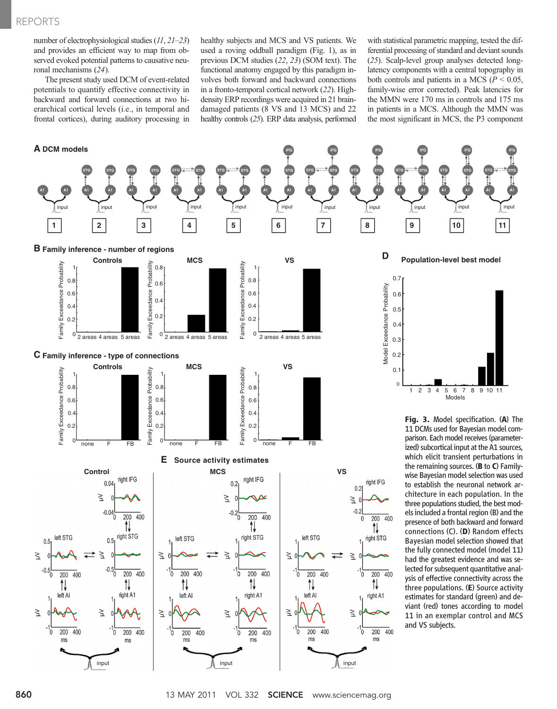number of electrophysiological studies (11, 21–23) and provides an efficient way to map from observed evoked potential patterns to causative neuronal mechanisms (24).

The present study used DCM of event-related potentials to quantify effective connectivity in backward and forward connections at two hierarchical cortical levels (i.e., in temporal and frontal cortices), during auditory processing in

healthy subjects and MCS and VS patients. We used a roving oddball paradigm (Fig. 1), as in previous DCM studies (22, 23) (SOM text). The functional anatomy engaged by this paradigm involves both forward and backward connections in a fronto-temporal cortical network (22). Highdensity ERP recordings were acquired in 21 braindamaged patients (8 VS and 13 MCS) and 22 healthy controls (25). ERP data analysis, performed with statistical parametric mapping, tested the differential processing of standard and deviant sounds (25). Scalp-level group analyses detected longlatency components with a central topography in both controls and patients in a MCS ( $P < 0.05$ , family-wise error corrected). Peak latencies for the MMN were 170 ms in controls and 175 ms in patients in a MCS. Although the MMN was the most significant in MCS, the P3 component

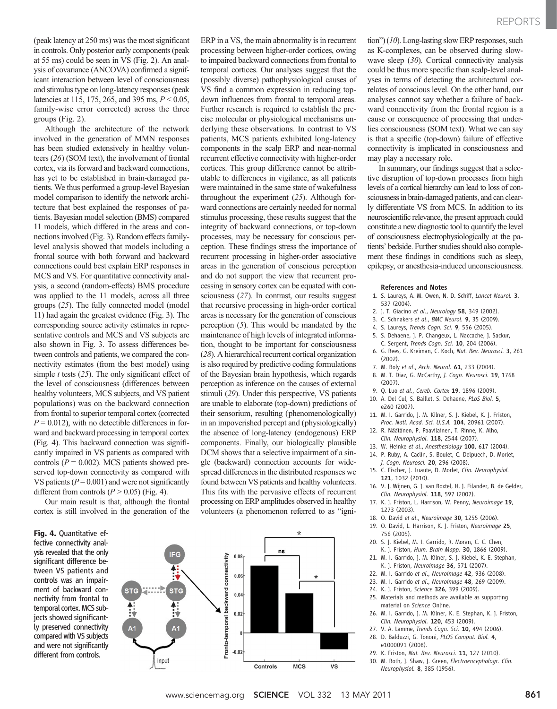(peak latency at 250 ms) was the most significant in controls. Only posterior early components (peak at 55 ms) could be seen in VS (Fig. 2). An analysis of covariance (ANCOVA) confirmed a significant interaction between level of consciousness and stimulus type on long-latency responses (peak latencies at 115, 175, 265, and 395 ms,  $P < 0.05$ , family-wise error corrected) across the three groups (Fig. 2).

Although the architecture of the network involved in the generation of MMN responses has been studied extensively in healthy volunteers (26) (SOM text), the involvement of frontal cortex, via its forward and backward connections, has yet to be established in brain-damaged patients. We thus performed a group-level Bayesian model comparison to identify the network architecture that best explained the responses of patients. Bayesian model selection (BMS) compared 11 models, which differed in the areas and connections involved (Fig. 3). Random effects familylevel analysis showed that models including a frontal source with both forward and backward connections could best explain ERP responses in MCS and VS. For quantitative connectivity analysis, a second (random-effects) BMS procedure was applied to the 11 models, across all three groups (25). The fully connected model (model 11) had again the greatest evidence (Fig. 3). The corresponding source activity estimates in representative controls and MCS and VS subjects are also shown in Fig. 3. To assess differences between controls and patients, we compared the connectivity estimates (from the best model) using simple  $t$  tests  $(25)$ . The only significant effect of the level of consciousness (differences between healthy volunteers, MCS subjects, and VS patient populations) was on the backward connection from frontal to superior temporal cortex (corrected  $P = 0.012$ ), with no detectible differences in forward and backward processing in temporal cortex (Fig. 4). This backward connection was significantly impaired in VS patients as compared with controls ( $P = 0.002$ ). MCS patients showed preserved top-down connectivity as compared with VS patients ( $P = 0.001$ ) and were not significantly different from controls  $(P > 0.05)$  (Fig. 4).

Our main result is that, although the frontal cortex is still involved in the generation of the

processing between higher-order cortices, owing to impaired backward connections from frontal to temporal cortices. Our analyses suggest that the (possibly diverse) pathophysiological causes of VS find a common expression in reducing topdown influences from frontal to temporal areas. Further research is required to establish the precise molecular or physiological mechanisms underlying these observations. In contrast to VS patients, MCS patients exhibited long-latency components in the scalp ERP and near-normal recurrent effective connectivity with higher-order cortices. This group difference cannot be attributable to differences in vigilance, as all patients were maintained in the same state of wakefulness throughout the experiment (25). Although forward connections are certainly needed for normal stimulus processing, these results suggest that the integrity of backward connections, or top-down processes, may be necessary for conscious perception. These findings stress the importance of recurrent processing in higher-order associative areas in the generation of conscious perception and do not support the view that recurrent processing in sensory cortex can be equated with consciousness (27). In contrast, our results suggest that recursive processing in high-order cortical areas is necessary for the generation of conscious perception (5). This would be mandated by the maintenance of high levels of integrated information, thought to be important for consciousness (28). A hierarchical recurrent cortical organization is also required by predictive coding formulations of the Bayesian brain hypothesis, which regards perception as inference on the causes of external stimuli (29). Under this perspective, VS patients are unable to elaborate (top-down) predictions of their sensorium, resulting (phenomenologically) in an impoverished percept and (physiologically) the absence of long-latency (endogenous) ERP components. Finally, our biologically plausible DCM shows that a selective impairment of a single (backward) connection accounts for widespread differences in the distributed responses we found between VS patients and healthy volunteers. This fits with the pervasive effects of recurrent processing on ERP amplitudes observed in healthy volunteers (a phenomenon referred to as "igni-

ERP in a VS, the main abnormality is in recurrent

Fig. 4. Quantitative effective connectivity analysis revealed that the only significant difference between VS patients and controls was an impairment of backward connectivity from frontal to temporal cortex. MCS subjects showed significantly preserved connectivity compared with VS subjects and were not significantly different from controls.



tion") (10). Long-lasting slow ERP responses, such as K-complexes, can be observed during slowwave sleep (30). Cortical connectivity analysis could be thus more specific than scalp-level analyses in terms of detecting the architectural correlates of conscious level. On the other hand, our analyses cannot say whether a failure of backward connectivity from the frontal region is a cause or consequence of processing that underlies consciousness (SOM text). What we can say is that a specific (top-down) failure of effective connectivity is implicated in consciousness and may play a necessary role.

In summary, our findings suggest that a selective disruption of top-down processes from high levels of a cortical hierarchy can lead to loss of consciousness in brain-damaged patients, and can clearly differentiate VS from MCS. In addition to its neuroscientific relevance, the present approach could constitute a new diagnostic tool to quantify the level of consciousness electrophysiologically at the patients' bedside. Further studies should also complement these findings in conditions such as sleep, epilepsy, or anesthesia-induced unconsciousness.

### References and Notes

- 1. S. Laureys, A. M. Owen, N. D. Schiff, Lancet Neurol. 3, 537 (2004).
- 2. J. T. Giacino et al., Neurology 58, 349 (2002).
- 3. C. Schnakers et al., BMC Neurol. 9, 35 (2009).
- 4. S. Laureys, Trends Cogn. Sci. 9, 556 (2005).
- 5. S. Dehaene, J. P. Changeux, L. Naccache, J. Sackur, C. Sergent, Trends Cogn. Sci. 10, 204 (2006).
- 6. G. Rees, G. Kreiman, C. Koch, Nat. Rev. Neurosci. 3, 261 (2002).
- 7. M. Boly et al., Arch. Neurol. 61, 233 (2004).
- 8. M. T. Diaz, G. McCarthy, J. Cogn. Neurosci. 19, 1768 (2007).
- 9. O. Luo et al., Cereb. Cortex 19, 1896 (2009).
- 10. A. Del Cul, S. Baillet, S. Dehaene, PLoS Biol. 5, e260 (2007).
- 11. M. I. Garrido, J. M. Kilner, S. J. Kiebel, K. J. Friston, Proc. Natl. Acad. Sci. U.S.A. 104, 20961 (2007).
- 12. R. Näätänen, P. Paavilainen, T. Rinne, K. Alho, Clin. Neurophysiol. 118, 2544 (2007).
- 13. W. Heinke et al., Anesthesiology 100, 617 (2004).
- 14. P. Ruby, A. Caclin, S. Boulet, C. Delpuech, D. Morlet, J. Cogn. Neurosci. 20, 296 (2008).
- 15. C. Fischer, J. Luaute, D. Morlet, Clin. Neurophysiol. 121, 1032 (2010).
- 16. V. J. Wijnen, G. J. van Boxtel, H. J. Eilander, B. de Gelder, Clin. Neurophysiol. 118, 597 (2007).
- 17. K. J. Friston, L. Harrison, W. Penny, Neuroimage 19, 1273 (2003).
- 18. O. David et al., Neuroimage 30, 1255 (2006).
- 19. O. David, L. Harrison, K. J. Friston, Neuroimage 25, 756 (2005).
- 20. S. J. Kiebel, M. I. Garrido, R. Moran, C. C. Chen, K. J. Friston, Hum. Brain Mapp. 30, 1866 (2009).
- 21. M. I. Garrido, J. M. Kilner, S. J. Kiebel, K. E. Stephan, K. J. Friston, Neuroimage 36, 571 (2007).
- 22. M. I. Garrido et al., Neuroimage 42, 936 (2008).
- 23. M. I. Garrido et al., Neuroimage 48, 269 (2009).
- 24. K. J. Friston, Science 326, 399 (2009).
- 25. Materials and methods are available as supporting material on Science Online.
- 26. M. I. Garrido, J. M. Kilner, K. E. Stephan, K. J. Friston, Clin. Neurophysiol. 120, 453 (2009).
- 27. V. A. Lamme, *Trends Cogn. Sci.* **10**, 494 (2006).
- 28. D. Balduzzi, G. Tononi, PLOS Comput. Biol. 4, e1000091 (2008).
- 29. K. Friston, Nat. Rev. Neurosci. 11, 127 (2010).
- 30. M. Roth, J. Shaw, J. Green, Electroencephalogr. Clin. Neurophysiol. 8, 385 (1956).